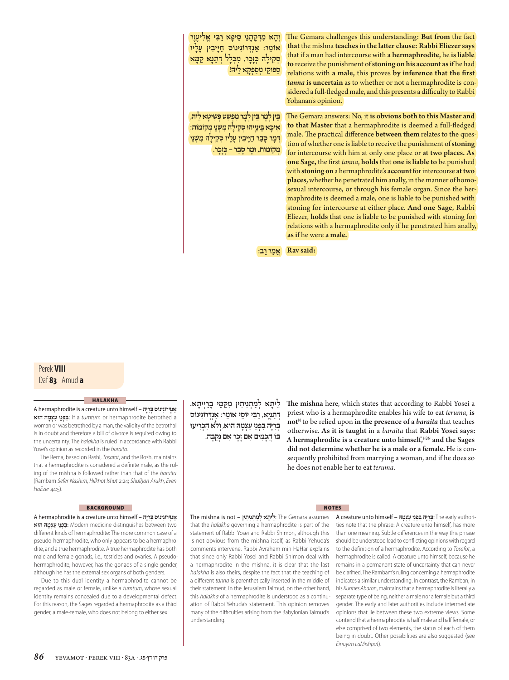| וְהָא מִדְּקָתָנֵי סֵיפָא וַבִּי אֱלִיעֶזֶר<br>אוֹמֵר: אֲנִדְרוֹגִינוֹם חַיַּיִבְין עֲלֵיו<br>קִקִילָה בְּזֶבָר, מִבְלָל דְּתַנָּא קַמֲא<br>ספוקי מספקא ליה!                                      | The Gemara challenges this understanding: But from the fact<br>that the mishna teaches in the latter clause: Rabbi Eliezer says<br>that if a man had intercourse with a hermaphrodite, he is liable<br>to receive the punishment of stoning on his account as if he had<br>relations with a male, this proves by inference that the first<br>tanna is uncertain as to whether or not a hermaphrodite is con-<br>sidered a full-fledged male, and this presents a difficulty to Rabbi<br>Yohanan's opinion.                                                                                                                                                                                                                                                                                                                                                                                                                      |
|---------------------------------------------------------------------------------------------------------------------------------------------------------------------------------------------------|---------------------------------------------------------------------------------------------------------------------------------------------------------------------------------------------------------------------------------------------------------------------------------------------------------------------------------------------------------------------------------------------------------------------------------------------------------------------------------------------------------------------------------------------------------------------------------------------------------------------------------------------------------------------------------------------------------------------------------------------------------------------------------------------------------------------------------------------------------------------------------------------------------------------------------|
| בֵין לִמֲר בֵין לִמֲר מִפְשַׁט פִּשִׁיטָא לֵיה,<br>אִיכָּא בִּינַיִּהוּ סְקִילַה מִשְּׁנֵי מִקוֹמוֹת:<br>דִּמַר סָבַר חַיַּיִבִין עֲלָיו סִקִילָה מִשְּׁנֵי<br>מִקוֹמוֹת, וּמַר סַבַר - כִּזָכֵר. | The Gemara answers: No, it is obvious both to this Master and<br>to that Master that a hermaphrodite is deemed a full-fledged<br>male. The practical difference between them relates to the ques-<br>tion of whether one is liable to receive the punishment of stoning<br>for intercourse with him at only one place or at two places. As<br>one Sage, the first tanna, holds that one is liable to be punished<br>with stoning on a hermaphrodite's account for intercourse at two<br>places, whether he penetrated him anally, in the manner of homo-<br>sexual intercourse, or through his female organ. Since the her-<br>maphrodite is deemed a male, one is liable to be punished with<br>stoning for intercourse at either place. And one Sage, Rabbi<br>Eliezer, holds that one is liable to be punished with stoning for<br>relations with a hermaphrodite only if he penetrated him anally,<br>as if he were a male. |

**Rav said: ֲאַמרַרב:**

# Perek **VIII** Daf **83** Amud **a**

#### **HALAKHA**

**ַאְנְ ּד ִרוֹגינוֹס ְּבִרָיּה** – himself unto creature a is hermaphrodite A a betrothed hermaphrodite or *tumtum* a If : **ִּב ְפֵני ַע ְצָמ ּה ּהוא** woman or was betrothed by a man, the validity of the betrothal is in doubt and therefore a bill of divorce is required owing to the uncertainty. The *halakha* is ruled in accordance with Rabbi Yosei's opinion as recorded in the *baraita*.

The Rema, based on Rashi, *Tosafot*, and the Rosh, maintains that a hermaphrodite is considered a definite male, as the ruling of the mishna is followed rather than that of the *baraita* (Rambam *Sefer Nashim*, *Hilkhot Ishut* 2:24; *Shulĥan Arukh*, *Even HaEzer* 44:5).

# **BACKGROUND**

**ַאְנְ ּד ִרוֹגינוֹס ְּבִרָיּה** – himself unto creature a is hermaphrodite A two between distinguishes medicine Modern : **ִּב ְפֵני ַע ְצָמ ּה ּהוא** different kinds of hermaphrodite: The more common case of a pseudo-hermaphrodite, who only appears to be a hermaphrodite, and a true hermaphrodite. A true hermaphrodite has both male and female gonads, i.e., testicles and ovaries. A pseudohermaphrodite, however, has the gonads of a single gender, although he has the external sex organs of both genders.

Due to this dual identity a hermaphrodite cannot be regarded as male or female, unlike a *tumtum*, whose sexual identity remains concealed due to a developmental defect. For this reason, the Sages regarded a hermaphrodite as a third gender, a male-female, who does not belong to either sex.

**ֵל ָיתא ְלַמ ְתִנ ִיתין ִמַּק ֵּמי ָּבַרְי ָיתא. ְ ּדַתְנָיא, ַרִּבי ֵ יוֹסי ֵאוֹמר: ַאְנְ ּד ִרוֹגינוֹס ְּבִרָיּה ִּב ְפֵני ַע ְצָמ ּה ּהוא, ְולֹא ִה ְכִר ּ יעו ּבוֲֹחָכ ִמים ִאםָזָכר ִאם ְנֵקָבה.**  **Th e mishna** here, which states that according to Rabbi Yosei a priest who is a hermaphrodite enables his wife to eat *teruma*, **is not**<sup>N</sup> to be relied upon **in the presence of a** *baraita* that teaches otherwise. **As it is taught** in a *baraita* that **Rabbi Yosei says:**  A hermaphrodite is a creature unto himself,<sup>HBN</sup> and the Sages **did not determine whether he is a male or a female.** He is consequently prohibited from marrying a woman, and if he does so he does not enable her to eat *teruma*.

#### **NOTES**

 assumes Gemara The **ֵ**:**ל ָיתא ְלַמ ְתִנ ִיתין** – not is mishna The that the *halakha* governing a hermaphrodite is part of the statement of Rabbi Yosei and Rabbi Shimon, although this is not obvious from the mishna itself, as Rabbi Yehuda's comments intervene. Rabbi Avraham min HaHar explains that since only Rabbi Yosei and Rabbi Shimon deal with a hermaphrodite in the mishna, it is clear that the last *halakha* is also theirs, despite the fact that the teaching of a different *tanna* is parenthetically inserted in the middle of their statement. In the Jerusalem Talmud, on the other hand, this *halakha* of a hermaphrodite is understood as a continuation of Rabbi Yehuda's statement. This opinion removes many of the difficulties arising from the Babylonian Talmud's understanding.

 A creature unto himself – **הּ מָצְ עַ ניֵפְ בִּ יּהָרִבְּ** : The early authorities note that the phrase: A creature unto himself, has more than one meaning. Subtle differences in the way this phrase should be understood lead to conflicting opinions with regard to the definition of a hermaphrodite. According to *Tosafot*, a hermaphrodite is called: A creature unto himself, because he remains in a permanent state of uncertainty that can never be clarified. The Rambam's ruling concerning a hermaphrodite indicates a similar understanding. In contrast, the Ramban, in his *Kuntres Aĥaron*, maintains that a hermaphrodite is literally a separate type of being, neither a male nor a female but a third gender. The early and later authorities include intermediate opinions that lie between these two extreme views. Some contend that a hermaphrodite is half male and half female, or else comprised of two elements, the status of each of them being in doubt. Other possibilities are also suggested (see *Einayim LaMishpat*).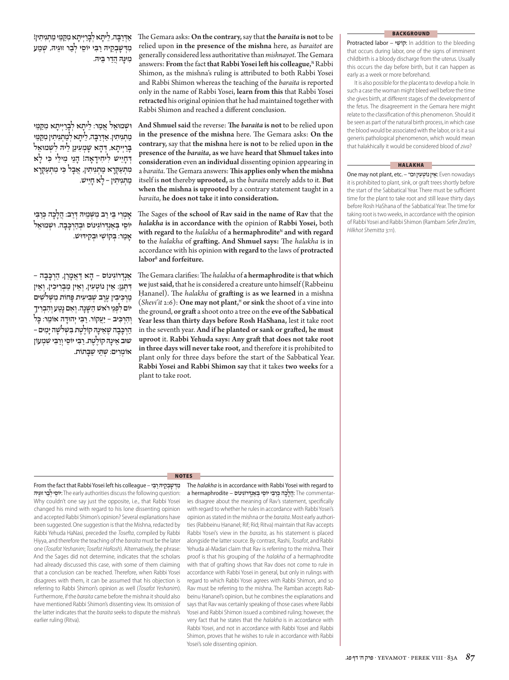**ַאְ ּדַרָּבה, ֵל ָיתא ְלָבַרְי ָיתא ִמַּק ֵּמי ַמ ְתִנ ִיתין! ִמְ ּד ָׁשְבֵק ּיה ַרִּבי ֵ יוֹסי ְלַבר ּזוֵג ּיה, ׁ ְשַמע ִמ ָּינ ּה ֲהַדר ֵּב ּיה.** 

**ּו ׁ ְש ּמוֵאל ֲאַמר: ֵל ָיתא ְלָבַרְי ָיתא ִמַּק ֵּמי ַמ ְתִנ ִיתין. ַאְ ּדַרָּבה, ֵל ָיתא ְלַמ ְתִנ ִיתין ִמַּק ֵּמי ָּבַרְי ָיתא, ְ ּדָהא ָׁש ְמ ִע ַינן ֵל ּיה ִל ׁ ְש ּמוֵאל ּכי ָלא ְ ּדָחֵי ׁיש ִל ִיח ָידָאה! ָהֵני ִמ ֵּילי ִ ּכי ִמ ְתַע ְּקָרא ִמ ְתַע ְּקָרא ַמ ְתִנ ִיתין, ֲאָבל ִ ַמ ְתִנ ִיתין – ָלא ָחֵי ׁיש.**

**ּכַרִּבי ָא ְמִרי ֵּביַרב ִמְּׁשֵמ ּיה ְ ּדַרב: ֲהָלָכה ְ ּכָבה. ּו ׁ ְש ּמוֵאל ֵ יוֹסי ְּבַאְנְ ּד ִרוֹגינוֹס ּוְבַהְרָ ָאַמר: ְּב ׁ ִ קוֹשי ּוְב ִק ּידּו ׁש.** 

**ּכָבה – ַאְנְ ּד ִרוֹגינוֹס – ָהא ַּדֲאָמַרן, ַהְרָ ִ ּד ְתַנן: ֵאין ְ נוֹט ִעין, ְוֵאין ַמ ְבִר ִיכין, ְוֵאין ּכ ִיבין ֶעֶרב ׁ ְשִב ִיעית ָּפחוֹת ִמְּׁשלֹ ׁ ִשים ַמְרִ יוֹם ִל ְפֵנירֹ ׁאש ַהָּׁשָנה. ְו ִאםָנַטע ְו ִה ְבִר ְיך ּכל ּכיב – ַיֲעקוֹר. ַרִּבי ְי ּהוָדה ֵאוֹמר: ָ ְו ִהְרִ ּכָבה ֶׁשֵא ָינ ּה ֶקוֹלֶטת ִּבׁ ְשלֹ ָׁשהָי ִמים – ַהְרָ ׁשּוב ֵא ָינ ּה ֶקוֹלֶטת. ַרִּבי ֵ יוֹסי ְוַרִּבי ׁ ִשְמעוֹן ְאוֹמִרים: ׁ ְשֵּתי ַׁשָּבתוֹת.**  The Gemara asks: On the contrary, say that the *baraita* is not to be relied upon **in the presence of the mishna** here, as *baraitot* are generally considered less authoritative than *mishnayot*. The Gemara answers: From the fact that Rabbi Yosei left his colleague,<sup>N</sup> Rabbi Shimon, as the mishna's ruling is attributed to both Rabbi Yosei and Rabbi Shimon whereas the teaching of the *baraita* is reported only in the name of Rabbi Yosei, **learn from this** that Rabbi Yosei **retracted** his original opinion that he had maintained together with Rabbi Shimon and reached a different conclusion.

**And Shmuel said** the reverse: **Th e** *baraita* **is not** to be relied upon in the presence of the mishna here. The Gemara asks: On the **contrary,** say that **the mishna** here **is not** to be relied upon **in the presence of the** *baraita***, as we** have **heard that Shmuel takes into consideration** even **an individual** dissenting opinion appearing in a *baraita*. The Gemara answers: This applies only when the mishna itself is **not** thereby **uprooted,** as the *baraita* merely adds to it. **But when the mishna is uprooted** by a contrary statement taught in a *baraita*, **he does not take** it **into consideration.**

The Sages of the school of Rav said in the name of Rav that the *halakha* **is in accordance with** the opinion of **Rabbi Yosei,** both with regard to the *halakha* of a hermaphrodite<sup>N</sup> and with regard to the *halakha* of grafting. And Shmuel says: The *halakha* is in accordance with his opinion **with regard to** the laws of **protracted labor**<sup>B</sup>**and forfeiture.**

The Gemara clarifies: The *halakha* of a hermaphrodite is that which **we** just**said,** that he is considered a creature unto himself (Rabbeinu Hananel). The *halakha* of grafting is as we learned in a mishna (*Shevi'it* 2:6): **One may not plant**,<sup>H</sup> or sink the shoot of a vine into the ground, **or graft** a shoot onto a tree on the **eve of the Sabbatical Year less than thirty days before Rosh HaShana,** lest it take root in the seventh year. And if he planted or sank or grafted, he must **uproot** it. **Rabbi Yehuda says: Any graft that does not take root in three days will never take root,** and therefore it is prohibited to plant only for three days before the start of the Sabbatical Year. **Rabbi Yosei and Rabbi Shimon say** that it takes **two weeks** for a plant to take root.

### **BACKGROUND**

 Protracted labor – **קוֹשי ִ ׁ** : In addition to the bleeding that occurs during labor, one of the signs of imminent childbirth is a bloody discharge from the uterus. Usually this occurs the day before birth, but it can happen as early as a week or more beforehand.

It is also possible for the placenta to develop a hole. In such a case the woman might bleed well before the time she gives birth, at different stages of the development of the fetus. The disagreement in the Gemara here might relate to the classification of this phenomenon. Should it be seen as part of the natural birth process, in which case the blood would be associated with the labor, or is it a sui generis pathological phenomenon, which would mean that halakhically it would be considered blood of *ziva*?

# **HALAKHA**

 One may not plant, etc. – **וכו׳ עיןִ נוֹט ְ איןֵ**: Even nowadays it is prohibited to plant, sink, or graft trees shortly before the start of the Sabbatical Year. There must be sufficient time for the plant to take root and still leave thirty days before Rosh HaShana of the Sabbatical Year. The time for taking root is two weeks, in accordance with the opinion of Rabbi Yosei and Rabbi Shimon (Rambam *Sefer Zera'im*, *Hilkhot Shemitta* 3:11).

#### **NOTES**

 From the fact that Rabbi Yosei left his colleague – **ביִּרַיהּ קֵבְשָׁ דּ ְמִ יהּ גֵזוּ ברַלְ יוֹסי ֵ** : The early authorities discuss the following question: Why couldn't one say just the opposite, i.e., that Rabbi Yosei changed his mind with regard to his lone dissenting opinion and accepted Rabbi Shimon's opinion? Several explanations have been suggested. One suggestion is that the Mishna, redacted by Rabbi Yehuda HaNasi, preceded the *Tosefta*, compiled by Rabbi Ĥiyya, and therefore the teaching of the *baraita* must be the later one (*Tosafot Yeshanim*; *Tosefot HaRosh*). Alternatively, the phrase: And the Sages did not determine, indicates that the scholars had already discussed this case, with some of them claiming that a conclusion can be reached. Therefore, when Rabbi Yosei disagrees with them, it can be assumed that his objection is referring to Rabbi Shimon's opinion as well (*Tosafot Yeshanim*). Furthermore, if the *baraita* came before the mishna it should also have mentioned Rabbi Shimon's dissenting view. Its omission of the latter indicates that the *baraita* seeks to dispute the mishna's earlier ruling (Ritva).

 The *halakha* is in accordance with Rabbi Yosei with regard to **ּכַרִּבי ֵ יוֹסי ְּבַאְנְ ּד ִרוֹגינוֹס** – hermaphrodite a **ְ כהָלָהֲ**: The commentaries disagree about the meaning of Rav's statement, specifically with regard to whether he rules in accordance with Rabbi Yosei's opinion as stated in the mishna or the *baraita*. Most early authorities (Rabbeinu Ĥananel; Rif; Rid; Ritva) maintain that Rav accepts Rabbi Yosei's view in the *baraita*, as his statement is placed alongside the latter source. By contrast, Rashi, *Tosafot*, and Rabbi Yehuda al-Madari claim that Rav is referring to the mishna. Their proof is that his grouping of the *halakha* of a hermaphrodite with that of grafting shows that Rav does not come to rule in accordance with Rabbi Yosei in general, but only in rulings with regard to which Rabbi Yosei agrees with Rabbi Shimon, and so Rav must be referring to the mishna. The Ramban accepts Rabbeinu Ĥananel's opinion, but he combines the explanations and says that Rav was certainly speaking of those cases where Rabbi Yosei and Rabbi Shimon issued a combined ruling; however, the very fact that he states that the *halakha* is in accordance with Rabbi Yosei, and not in accordance with Rabbi Yosei and Rabbi Shimon, proves that he wishes to rule in accordance with Rabbi Yosei's sole dissenting opinion.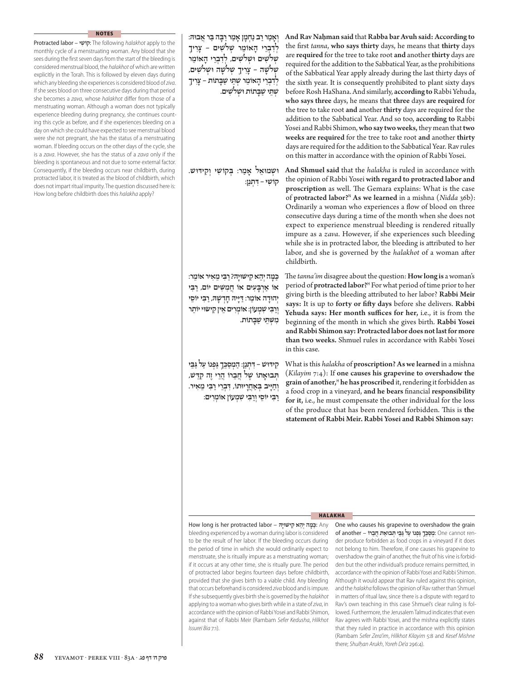Protracted labor – **קוֹשי ִ ׁ** : The following *halakhot* apply to the monthly cycle of a menstruating woman. Any blood that she sees during the first seven days from the start of the bleeding is considered menstrual blood, the *halakhot* of which are written explicitly in the Torah. This is followed by eleven days during which any bleeding she experiences is considered blood of *ziva*. If she sees blood on three consecutive days during that period she becomes a *zava*, whose *halakhot* differ from those of a menstruating woman. Although a woman does not typically experience bleeding during pregnancy, she continues counting this cycle as before, and if she experiences bleeding on a day on which she could have expected to see menstrual blood were she not pregnant, she has the status of a menstruating woman. If bleeding occurs on the other days of the cycle, she is a *zava*. However, she has the status of a *zava* only if the bleeding is spontaneous and not due to some external factor. Consequently, if the bleeding occurs near childbirth, during protracted labor, it is treated as the blood of childbirth, which does not impart ritual impurity. The question discussed here is: How long before childbirth does this *halakha* apply?

| וְאָמַר רַב נַחְמֶן אָמַר רַבָּה בַּר אֲבוּהּ:<br>לְדִבְרֵי הָאוֹמֵר שְׁלֹשִׁים - צָרִיךָ<br>שְלֹשִׁים וּשְלֹשִׁים, לְדְבְרֵי הַאוֹמֵר<br>שְׁלִשָּׁה – צַרִיךְ שְׁלֹשָׁה וּשְׁלֹשִׁים,<br>לְדִבְרֵי הָאוֹמֵר שְׁתֵּי שַׁבָּתוֹת – צָרִיךָ<br>שְתֵּי שַׁבַּתוֹת וּשְׁלֹשִׁים. | And Rav Nahman said that Rabba bar Avuh said: According to<br>the first tanna, who says thirty days, he means that thirty days<br>are required for the tree to take root and another thirty days are<br>required for the addition to the Sabbatical Year, as the prohibitions<br>of the Sabbatical Year apply already during the last thirty days of<br>the sixth year. It is consequently prohibited to plant sixty days<br>before Rosh HaShana. And similarly, according to Rabbi Yehuda,<br>who says three days, he means that three days are required for<br>the tree to take root and another thirty days are required for the<br>addition to the Sabbatical Year. And so too, according to Rabbi<br>Yosei and Rabbi Shimon, who say two weeks, they mean that two<br>weeks are required for the tree to take root and another thirty<br>days are required for the addition to the Sabbatical Year. Rav rules<br>on this matter in accordance with the opinion of Rabbi Yosei. |
|------------------------------------------------------------------------------------------------------------------------------------------------------------------------------------------------------------------------------------------------------------------------------|-------------------------------------------------------------------------------------------------------------------------------------------------------------------------------------------------------------------------------------------------------------------------------------------------------------------------------------------------------------------------------------------------------------------------------------------------------------------------------------------------------------------------------------------------------------------------------------------------------------------------------------------------------------------------------------------------------------------------------------------------------------------------------------------------------------------------------------------------------------------------------------------------------------------------------------------------------------------------------------|
| וּשְמוּאֵל אַמַר: בְּקוֹשִׁי וְקִידּוּשׁ.<br>קוֹשִׁי – דְּתְנַן:                                                                                                                                                                                                             | And Shmuel said that the halakha is ruled in accordance with<br>the opinion of Rabbi Yosei with regard to protracted labor and<br>proscription as well. The Gemara explains: What is the case<br>of protracted labor? <sup>N</sup> As we learned in a mishna (Nidda 36b):<br>Ordinarily a woman who experiences a flow of blood on three<br>consecutive days during a time of the month when she does not<br>expect to experience menstrual bleeding is rendered ritually<br>impure as a zava. However, if she experiences such bleeding<br>while she is in protracted labor, the bleeding is attributed to her<br>labor, and she is governed by the halakhot of a woman after<br>childbirth.                                                                                                                                                                                                                                                                                       |
| כַּמָּה יְהֵא קִישׁוּיָה? רַבִּי מֵאִיר אוֹמֵר:<br>אוֹ אַרְבָּעִים אוֹ חֲמְשִׁים יוֹם, רַבְּי<br>יְהוּדָה אוֹמֵר: דַּיַּיִהּ חָדְשָׁהּ, רַבְּי יוֹסֵי<br>וְרַבִּי שִׁמְעוֹן: אוֹמְרִים אֵין קִישׁוּי יוֹתֵר<br>מִשְׁתֵּי שַׁבָּתוֹת.                                         | The tanna'im disagree about the question: How long is a woman's<br>period of protracted labor? <sup>H</sup> For what period of time prior to her<br>giving birth is the bleeding attributed to her labor? Rabbi Meir<br>says: It is up to forty or fifty days before she delivers. Rabbi<br>Yehuda says: Her month suffices for her, i.e., it is from the<br>beginning of the month in which she gives birth. Rabbi Yosei<br>and Rabbi Shimon say: Protracted labor does not last for more<br>than two weeks. Shmuel rules in accordance with Rabbi Yosei<br>in this case.                                                                                                                                                                                                                                                                                                                                                                                                          |
| קידוּשׁ – דִּתְנַן: הַמְסַכֵּךְ גַּפְנוֹ עַל גַּבֵּי<br>תִּבוּאַתוֹ שֵׁל חֲבֵרוֹ הֲרֵי זֶה קְדֵּשׁ,<br>וְחַיָּיִב בְּאַחֲרָיוּתוֹ, דְּבְרֵי רַבִּי מֵאִיר.<br>רַבִּי יוֹסֵי וְרַבִּי שְׁמְעוֹן אוֹמְרִים:                                                                    | What is this halakha of proscription? As we learned in a mishna<br>(Kilayim 7:4): If one causes his grapevine to overshadow the<br>grain of another, <sup>H</sup> he has proscribed it, rendering it forbidden as<br>a food crop in a vineyard, and he bears financial responsibility<br>for it, i.e., he must compensate the other individual for the loss<br>of the produce that has been rendered forbidden. This is the<br>statement of Rabbi Meir. Rabbi Yosei and Rabbi Shimon say:                                                                                                                                                                                                                                                                                                                                                                                                                                                                                           |

#### **HALAKHA**

 Any **ַּ**:**כ ָּמה ְיֵהא ִק ּׁישּוָי ּה** – labor protracted her is long How bleeding experienced by a woman during labor is considered to be the result of her labor. If the bleeding occurs during the period of time in which she would ordinarily expect to menstruate, she is ritually impure as a menstruating woman; if it occurs at any other time, she is ritually pure. The period of protracted labor begins fourteen days before childbirth, provided that she gives birth to a viable child. Any bleeding that occurs beforehand is considered *ziva* blood and is impure. If she subsequently gives birth she is governed by the *halakhot* applying to a woman who gives birth while in a state of *ziva*, in accordance with the opinion of Rabbi Yosei and Rabbi Shimon, against that of Rabbi Meir (Rambam *Sefer Kedusha*, *Hilkhot Issurei Bia* 7:1).

 One who causes his grapevine to overshadow the grain of another – **ברוֵֹחֲ אתַבוּ תְּ ביֵּגַּ עלַ פנוְֹגַּ ךְ כֵּסַמְ** : One cannot render produce forbidden as food crops in a vineyard if it does not belong to him. Therefore, if one causes his grapevine to overshadow the grain of another, the fruit of his vine is forbidden but the other individual's produce remains permitted, in accordance with the opinion of Rabbi Yosei and Rabbi Shimon. Although it would appear that Rav ruled against this opinion, and the *halakha* follows the opinion of Rav rather than Shmuel in matters of ritual law, since there is a dispute with regard to Rav's own teaching in this case Shmuel's clear ruling is followed. Furthermore, the Jerusalem Talmud indicates that even Rav agrees with Rabbi Yosei, and the mishna explicitly states that they ruled in practice in accordance with this opinion (Rambam *Sefer Zera'im*, *Hilkhot Kilayim* 5:8 and *Kesef Mishne*  there; *Shulĥan Arukh*, *Yoreh De'a* 296:4).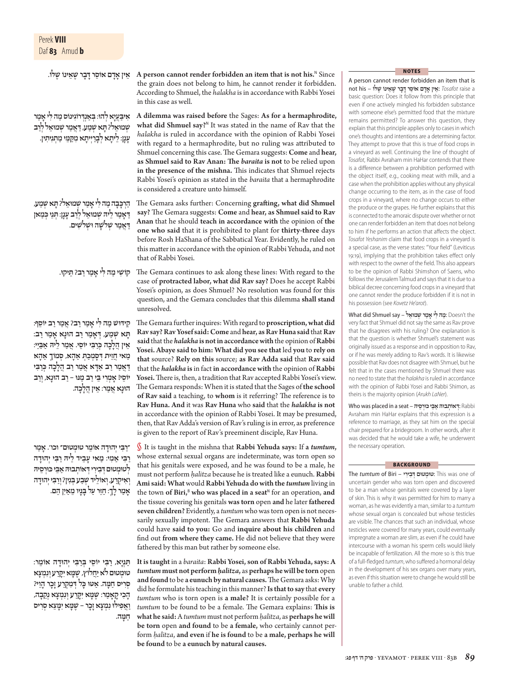# Perek **VIII** Daf **83** Amud **b**

**ִא ַּיבֲעָיא ְל ּהו: ְּבַאְנְ ּד ִרוֹגינוֹס ַמה ִּלי ָאַמר ׁ ְש ּמוֵאל? ָּתא ׁ ְשַמע, ַּדֲאַמר ׁ ְש ּמוֵאל ְלַרב ָעָנן: ֵל ָיתא ְלָבַרְי ָיתא ִמַּק ֵּמי ַמ ְתִנ ִיתין.** 

**ּכָבה ַמה ִּלי ָאַמר ׁ ְש ּמוֵאל? ָּתא ׁ ְשַמע, ַהְרָ ּכַמאן ַּדָאַמרֵל ּיה ׁ ְש ּמוֵאל ְלַרב ָעָנן: ְּתֵני ְ**

**ִק ּידּו ׁש ַמה ִּלי ָאַמרַרב? ֲאַמרַרב ֵ יוֹסף: ָּתא ׁ ְשַמע, ְ ּדָאַמרַרב ּהוָנא ָאַמרַרב: ּכַרִּבי ֵ יוֹסי. ֲאַמר ֵל ּיה ַאַּבֵיי: ֵאין ֲהָלָכה ְ ַמאי ֲחֵזית ְ ּדָס ְמַכ ְּת ַאָהא, ְס ְמוֹך ַאָהא ּכַרִּבי ַּדֲאַמרַרב ַאָּדא ֲאַמרַרב ֲהָלָכה ְ ֵ יוֹסי! ָא ְמִרי ֵּביַרב ַמּנּו – ַרב ּהוָנא, ְוַרב**

**ַּדֲאַמר ׁ ְשלֹ ָׁשה ּו ׁ ְשלֹ ׁ ִשים.** 

A person cannot render forbidden an item that is not his.<sup>N</sup> Since the grain does not belong to him, he cannot render it forbidden. According to Shmuel, the *halakha* is in accordance with Rabbi Yosei in this case as well. **ֵאין ָאָדם ֵאוֹסרָּדָבר ֶׁשֵאינוֹ ֶׁשּלוֹ.**

> **A dilemma was raised before** the Sages: **As for a hermaphrodite,**  what did Shmuel say?<sup>N</sup> It was stated in the name of Rav that the *halakha* is ruled in accordance with the opinion of Rabbi Yosei with regard to a hermaphrodite, but no ruling was attributed to Shmuel concerning this case. The Gemara suggests: Come and hear, **as Shmuel said to Rav Anan: Th e** *baraita* **is not** to be relied upon in the presence of the mishna. This indicates that Shmuel rejects Rabbi Yosei's opinion as stated in the *baraita* that a hermaphrodite is considered a creature unto himself.

> The Gemara asks further: Concerning grafting, what did Shmuel say? The Gemara suggests: Come and hear, as Shmuel said to Rav **Anan** that he should **teach in accordance with** the opinion of **the one who said** that it is prohibited to plant for **thirty-three** days before Rosh HaShana of the Sabbatical Year. Evidently, he ruled on this matter in accordance with the opinion of Rabbi Yehuda, and not that of Rabbi Yosei.

The Gemara continues to ask along these lines: With regard to the case of **protracted labor, what did Rav say?** Does he accept Rabbi Yosei's opinion, as does Shmuel? No resolution was found for this question, and the Gemara concludes that this dilemma **shall stand**  unresolved. **ּלי ָאַמרַרב? ֵּת ּ יקו. ׁ ִ קוֹשי ַמה ִ**

> The Gemara further inquires: With regard to proscription, what did **Rav say? Rav Yosef said: Come** and **hear, as Rav Huna said** that**Rav said** that the *halakha* **is not in accordance with** the opinion of**Rabbi Yosei. Abaye said to him: What did you see that** led **you** to **rely on that** source? **Rely on this** source; **as Rav Adda said** that **Rav said**  that the *halakha* **is** in fact **in accordance with** the opinion of **Rabbi**  Yosei. There is, then, a tradition that Rav accepted Rabbi Yosei's view. The Gemara responds: When it is stated that the Sages of the school of Rav said a teaching, to whom is it referring? The reference is to **Rav Huna. And** it was **Rav Huna** who **said** that the *halakha* **is not**  in accordance with the opinion of Rabbi Yosei. It may be presumed, then, that Rav Adda's version of Rav's ruling is in error, as preference is given to the report of Rav's preeminent disciple, Rav Huna.

> § It is taught in the mishna that **Rabbi Yehuda says:** If **a** *tumtum***,**  whose external sexual organs are indeterminate, was torn open so that his genitals were exposed, and he was found to be a male, he must not perform *ĥalitza* because he is treated like a eunuch. **Rabbi Ami said: What** would **Rabbi Yehuda do with the** *tumtum* living in the town of Biri,<sup>B</sup> who was placed in a seat<sup>N</sup> for an operation, and the tissue covering his genitals **was torn** open **and** he later **fathered seven children?** Evidently, a *tumtum* who was torn open is not necessarily sexually impotent. The Gemara answers that Rabbi Yehuda could have **said to you:** Go and **inquire about his children** and find out from where they came. He did not believe that they were fathered by this man but rather by someone else.

> **It is taught** in a *baraita*: **Rabbi Yosei, son of Rabbi Yehuda, says: A**  *tumtum* **must not perform** *ĥalitza***,** as **perhaps he will be torn** open and found to be a eunuch by natural causes. The Gemara asks: Why did he formulate his teaching in this manner? **Is that to say** that **every**  *tumtum* who is torn open is **a male?** It is certainly possible for a *tumtum* to be found to be a female. The Gemara explains: This is **what he said:** A *tumtum* must not perform *ĥalitza*, as **perhaps he will be torn** open **and found** to be **a female,** who certainly cannot perform *ĥalitza*, **and even** if **he is found** to be **a male, perhaps he will be found** to be **a eunuch by natural causes.**

**NOTES**

 A person cannot render forbidden an item that is a raise *Tosafot* **ֵ**:**אין ָאָדם ֵאוֹסרָּדָבר ֶׁשֵאינוֹ ֶׁשּלוֹ** – his not basic question: Does it follow from this principle that even if one actively mingled his forbidden substance with someone else's permitted food that the mixture remains permitted? To answer this question, they explain that this principle applies only to cases in which one's thoughts and intentions are a determining factor. They attempt to prove that this is true of food crops in a vineyard as well. Continuing the line of thought of *Tosafot*, Rabbi Avraham min HaHar contends that there is a difference between a prohibition performed with the object itself, e.g., cooking meat with milk, and a case when the prohibition applies without any physical change occurring to the item, as in the case of food crops in a vineyard, where no change occurs to either the produce or the grapes. He further explains that this is connected to the amoraic dispute over whether or not one can render forbidden an item that does not belong to him if he performs an action that affects the object. *Tosafot Yeshanim* claim that food crops in a vineyard is a special case, as the verse states: "Your field" (Leviticus 19:19), implying that the prohibition takes effect only with respect to the owner of the field. This also appears to be the opinion of Rabbi Shimshon of Saens, who follows the Jerusalem Talmud and says that it is due to a biblical decree concerning food crops in a vineyard that one cannot render the produce forbidden if it is not in his possession (see *Kovetz He'arot*).

 the t'Doesn **ַ**:**מה ִּלי ָאַמר ׁ ְש ּמוֵאל** – say Shmuel did What very fact that Shmuel did not say the same as Rav prove that he disagrees with his ruling? One explanation is that the question is whether Shmuel's statement was originally issued as a response and in opposition to Rav, or if he was merely adding to Rav's words. It is likewise possible that Rav does not disagree with Shmuel, but he felt that in the cases mentioned by Shmuel there was no need to state that the *halakha* is ruled in accordance with the opinion of Rabbi Yosei and Rabbi Shimon, as theirs is the majority opinion (*Arukh LaNer*).

 Rabbi **ְ**: **ּד ְאוֹת ּבו ּה ַאֵּבי ּכּוְרֵס ּיה** – seat a in placed was Who Avraham min HaHar explains that this expression is a reference to marriage, as they sat him on the special chair prepared for a bridegroom. In other words, after it was decided that he would take a wife, he underwent the necessary operation.

#### **BACKGROUND**

 The *tumtum* of Biri – **יריִ בִ דּ ְ טוםּ מְ טוּ** : This was one of uncertain gender who was torn open and discovered to be a man whose genitals were covered by a layer of skin. This is why it was permitted for him to marry a woman, as he was evidently a man, similar to a *tumtum*  whose sexual organ is concealed but whose testicles are visible. The chances that such an individual, whose testicles were covered for many years, could eventually impregnate a woman are slim, as even if he could have intercourse with a woman his sperm cells would likely be incapable of fertilization. All the more so is this true of a full-fledged *tumtum*,who suffered a hormonal delay in the development of his sex organs over many years, as even if this situation were to change he would still be unable to father a child.

**ַ״רִּבי ְי ּהוָדה ֵאוֹמר ּטו ְמ ּטום״ וכו׳. ָאַמר ַרִּבי ַא ִמי: ַמאי ָעֵביד ֵל ּיה ַרִּבי ְי ּהוָדה ְל ּטו ְמ ּטום ְ ּד ִב ִירי ְ ּד ְאוֹת ּבו ּה ַאֵּבי ּכּוְרֵס ּיה ְו ִא ְיקַרע, ְו ֵאוֹליד ׁ ְשַבע ְּבִנין? ְוַרִּבי ְי ּהוָדה ָאַמרָל ְך: ַחֵזּר ַעל ָּבָניו ֵמַאִין ֵהם.**

**ּהוָנא ֲאַמר: ֵאיןֲהָלָכה.**

**ַּתְנָיא, ַרִּבי ֵ יוֹסי ְּבַרִּבי ְי ּהוָדה ֵאוֹמר: ּטו ְמ ּטום לֹאַיֲחלוֹץ, ֶׁשָּמא ִיָּקַרע ְוִנְמָצא ּכל ְ ּד ִמ ְקַרע ָזָכר ָהֵוי? ְסִריס ַח ָּמה. ַא ּטּו ָ ָה ִכי ָקָאַמר: ֶׁשָּמא ִיָּקַרע ְוִנְמָצא ְנֵקָבה, ַוֲא ִפ ּילּו ִנְמָצאָזָכר – ֶׁשָּמא ִי ָּמֵצא ְסִריס ַח ָּמה.**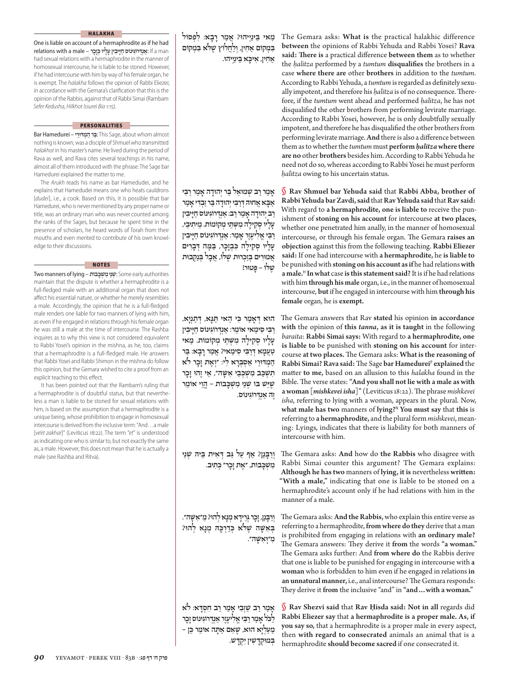# **HALAKHA**

 One is liable on account of a hermaphrodite as if he had relations with a male – **כרָזָכּ** man a If **ַ**:**אְנְ ּד ִרוֹגינוֹס ַחָיּ ִיבין ָעָליו ְ** had sexual relations with a hermaphrodite in the manner of homosexual intercourse, he is liable to be stoned. However, if he had intercourse with him by way of his female organ, he is exempt. The *halakha* follows the opinion of Rabbi Eliezer, in accordance with the Gemara's clarification that this is the opinion of the Rabbis, against that of Rabbi Simai (Rambam *Sefer Kedusha*, *Hilkhot Issurei Bia* 1:15).

#### **PERSONALITIES**

 Bar Hamedurei – **ריֵוּדּ מְ הַ ברַּ**: This Sage, about whom almost nothing is known, was a disciple of Shmuel who transmitted *halakhot* in his master's name. He lived during the period of Rava as well, and Rava cites several teachings in his name, almost all of them introduced with the phrase: The Sage bar Hamedurei explained the matter to me.

The *Arukh* reads his name as bar Hamedudei, and he explains that Hamedudei means one who heats cauldrons [*dudei*], i.e., a cook. Based on this, it is possible that bar Hamedurei, who is never mentioned by any proper name or title, was an ordinary man who was never counted among the ranks of the Sages, but because he spent time in the presence of scholars, he heard words of Torah from their mouths and even merited to contribute of his own knowledge to their discussions.

**NOTES**

 Two manners of lying – **כבוֹתָּשְ ׁמִ ניֵשְ ׁ** : Some early authorities maintain that the dispute is whether a hermaphrodite is a full-fledged male with an additional organ that does not affect his essential nature, or whether he merely resembles a male. Accordingly, the opinion that he is a full-fledged male renders one liable for two manners of lying with him, as even if he engaged in relations through his female organ he was still a male at the time of intercourse. The Rashba inquires as to why this view is not considered equivalent to Rabbi Yosei's opinion in the mishna, as he, too, claims that a hermaphrodite is a full-fledged male. He answers that Rabbi Yosei and Rabbi Shimon in the mishna do follow this opinion, but the Gemara wished to cite a proof from an explicit teaching to this effect.

It has been pointed out that the Rambam's ruling that a hermaphrodite is of doubtful status, but that nevertheless a man is liable to be stoned for sexual relations with him, is based on the assumption that a hermaphrodite is a unique being, whose prohibition to engage in homosexual intercourse is derived from the inclusive term: "And…a male [*ve'et zakhar*]" (Leviticus 18:22). The term "*et*" is understood as indicating one who is similar to, but not exactly the same as, a male. However, this does not mean that he is actually a male (see Rashba and Ritva).

**ַמאי ֵּב ַינְי ּ יהו? ֲאַמר ָרָבא: ִל ְפסוֹל ִּב ְמקוֹם ַא ִחין, ְוַלֲחלוֹץ ֶׁשּלֹא ִּב ְמקוֹם ּיכא ֵּב ַינְי ּ יהו. ַא ִחין, ִא ָ**

**ָאַמרַרב ׁ ְש ּמוֵאל ַּבר ְי ּהוָדה ָאַמרַרִּבי ַאָּבאֲא ּחו ּה ְ ּדַרִּבי ְי ּהוָדה ַּברַז ְבִ ּדי ָאַמר ַרב ְי ּהוָדה ָאַמרַרב: ַאְנְ ּד ִרוֹגינוֹס ַחָיּ ִיבין ָעָליו ְס ִק ָילה ִמְּׁשֵּתי ְמקוֹמוֹת. ֵמ ִית ֵיבי, ַרִּבי ֱאִל ֶיעֶזר ָאַמר: ַאְנְ ּד ִרוֹגינוֹס ַחָיּ ִיבין ּכ ְבָזָכר, ַּב ֶּמה ְ ּדָבִרים ָעָליו ְס ִק ָילה ִ ֲא ּמוִרים ְּבַז ְכ ּרות ֶׁשּלוֹ, ֲאָבל ְּבַנְק ּבות ֶׁשּלוֹ – ָּפ ּטור!**

**ּכי ַהאי ַּתָּנא, ְ ּדַתְנָיא, ּהוא ְ ּדָאַמר ִ ַרִּבי ִס ַימאי ֵאוֹמר: ַאְנְ ּד ִרוֹגינוֹס ַחָיּ ִיבין ָעָליו ְס ִק ָילה ִמְּׁש ֵּתי ְמקוֹמוֹת. ַמאי ַטֲעָמא ְ ּדַרִּבי ִס ַימאי? ֲאַמרָרָבא: ַּבר ַה ְמ ּדּוֵרי ַא ְס ְּבָרא ִלי: ְ״וֶאת ָזָכר לֹא ּכֵבי ִאָּׁשה״, ֵאי ֶז ּהו ָזָכר ּכב ִמׁ ְשְ ִתׁ ְשַ ּכבוֹת – ֱהֵוי ֵאוֹמר ֶׁשֵיּׁש ּבוֹ ׁ ְשֵני ִמׁ ְשָ ֶזה ַאְנְ ּד ִרוֹגינוֹס.** 

**ְוַרָּבַנן? ַאף ַעל ַּגב ְ ּד ִאית ֵּב ּיה ׁ ְשֵני ּכ ִתיב. ּכבוֹת, ֶ״אתָזָכר״ ְ ִמׁ ְשָ**

**ְוַרָּבַנן, ָזָכר ְּגֵרָידא ְמָנא ְל ּהו? ֵמ ִ״אָּׁשה״. ּכ ּה ְמָנא ְל ּהו? ּכַדְרָ ְּב ִא ָּׁשה ֶׁש ּלֹא ְ ִמ ְּ״ו ִאָּׁשה״.**

**ָאַמרַרב ֵׁשְז ִבי ָאַמרַרב ִח ְסָּדא: לֹא ַל ּ ֹכל ָאַמרַרִּביֱאִל ֶיעֶזר ַאְנְ ּד ִרוֹגינוֹסָזָכר ּכן – ַמַעְלָיא ּהוא, ֶׁש ִאם ַא ָּתה ֵאוֹמר ֵ**

**ְּב ּמו ְקָּד ׁ ִשין ִי ְקָּד ׁש.** 

The Gemara asks: **What is** the practical halakhic difference **between** the opinions of Rabbi Yehuda and Rabbi Yosei? **Rava said:** There is a practical difference between them as to whether the *ĥalitza* performed by a *tumtum* **disqualifi es** the brothers in a case **where there are** other **brothers** in addition to the *tumtum*. According to Rabbi Yehuda, a tumtum is regarded as definitely sexually impotent, and therefore his *halitza* is of no consequence. Therefore, if the *tumtum* went ahead and performed *ĥalitza*, he has not disqualified the other brothers from performing levirate marriage. According to Rabbi Yosei, however, he is only doubtfully sexually impotent, and therefore he has disqualified the other brothers from performing levirate marriage. And there is also a difference between them as to whether the *tumtum* must **perform** *ĥalitza* **where there are no** other **brothers** besides him. According to Rabbi Yehuda he need not do so, whereas according to Rabbi Yosei he must perform *ĥalitza* owing to his uncertain status.

§ **Rav Shmuel bar Yehuda said** that **Rabbi Abba, brother of Rabbi Yehuda bar Zavdi, said** that**Rav Yehuda said** that**Rav said:**  With regard to **a hermaphrodite, one is liable to** receive the punishment of **stoning on his account** for intercourse **at two places,**  whether one penetrated him anally, in the manner of homosexual intercourse, or through his female organ. The Gemara raises an **objection** against this from the following teaching. **Rabbi Eliezer said:** If one had intercourse with **a hermaphrodite,** he **is liable to**  be punished with **stoning on his account as if** he had relations **with a male.**<sup>H</sup>**In what** case **is this statement said?** It is if he had relations with him **through his male** organ, i.e., in the manner of homosexual intercourse, **but** if he engaged in intercourse with him **through his female** organ, he is **exempt.**

The Gemara answers that Rav stated his opinion in accordance **with** the opinion of **this** *tanna***, as it is taught** in the following *baraita*: **Rabbi Simai says:** With regard to **a hermaphrodite, one is liable to** be punished with **stoning on his account** for intercourse at two places. The Gemara asks: What is the reasoning of **Rabbi Simai? Rava said:** The Sage bar Hamedurei<sup>p</sup> explained the matter to me, based on an allusion to this *halakha* found in the Bible. The verse states: "And you shall not lie with a male as with a woman [*mishkevei isha*]" (Leviticus 18:22). The phrase *mishkevei isha*, referring to lying with a woman, appears in the plural. Now, **what male has two** manners of **lying?**<sup>N</sup>**You must say** that **this** is referring to **a hermaphrodite,** and the plural form *mishkevei*, meaning: Lyings, indicates that there is liability for both manners of intercourse with him.

The Gemara asks: And how do the Rabbis who disagree with Rabbi Simai counter this argument? The Gemara explains: **Although he has two** manners of **lying, it is** nevertheless **writt en: "With a male,"** indicating that one is liable to be stoned on a hermaphrodite's account only if he had relations with him in the manner of a male.

The Gemara asks: And the Rabbis, who explain this entire verse as referring to a hermaphrodite, **from where do they** derive that a man is prohibited from engaging in relations with **an ordinary male?**  The Gemara answers: They derive it from the words "a woman." The Gemara asks further: And from where do the Rabbis derive that one is liable to be punished for engaging in intercourse with **a woman** who is forbidden to him even if he engaged in relations **in**  an unnatural manner, i.e., anal intercourse? The Gemara responds: They derive it from the inclusive "and" in "and ... with a woman."

§ **Rav Shezvi said** that **Rav Ĥisda said: Not in all** regards did **Rabbi Eliezer say** that **a hermaphrodite is a proper male. As, if you say so,** that a hermaphrodite is a proper male in every aspect, then **with regard to consecrated** animals an animal that is a hermaphrodite **should become sacred** if one consecrated it.